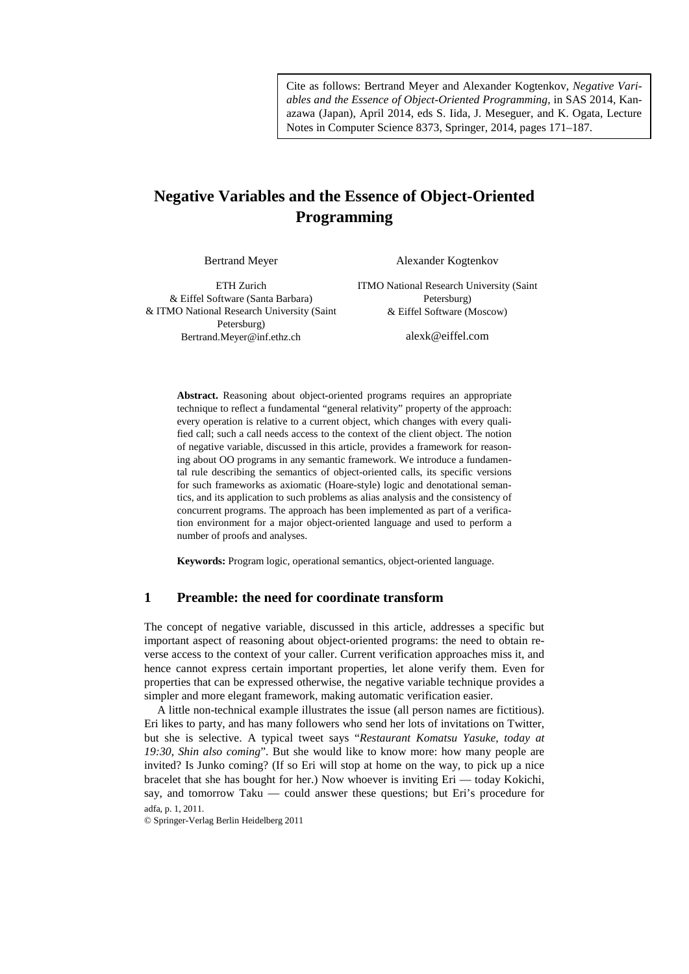Cite as follows: Bertrand Meyer and Alexander Kogtenkov, *Negative Variables and the Essence of Object-Oriented Programming*, in SAS 2014, Kanazawa (Japan), April 2014, eds S. Iida, J. Meseguer, and K. Ogata, Lecture Notes in Computer Science 8373, Springer, 2014, pages 171–187.

# **Negative Variables and the Essence of Object-Oriented Programming**

Bertrand Meyer

Alexander Kogtenkov

ETH Zurich & Eiffel Software (Santa Barbara) & ITMO National Research University (Saint Petersburg) Bertrand.Meyer@inf.ethz.ch

ITMO National Research University (Saint Petersburg) & Eiffel Software (Moscow)

alexk@eiffel.com

**Abstract.** Reasoning about object-oriented programs requires an appropriate technique to reflect a fundamental "general relativity" property of the approach: every operation is relative to a current object, which changes with every qualified call; such a call needs access to the context of the client object. The notion of negative variable, discussed in this article, provides a framework for reasoning about OO programs in any semantic framework. We introduce a fundamental rule describing the semantics of object-oriented calls, its specific versions for such frameworks as axiomatic (Hoare-style) logic and denotational semantics, and its application to such problems as alias analysis and the consistency of concurrent programs. The approach has been implemented as part of a verification environment for a major object-oriented language and used to perform a number of proofs and analyses.

**Keywords:** Program logic, operational semantics, object-oriented language.

### **1 Preamble: the need for coordinate transform**

The concept of negative variable, discussed in this article, addresses a specific but important aspect of reasoning about object-oriented programs: the need to obtain reverse access to the context of your caller. Current verification approaches miss it, and hence cannot express certain important properties, let alone verify them. Even for properties that can be expressed otherwise, the negative variable technique provides a simpler and more elegant framework, making automatic verification easier.

adfa, p. 1, 2011. A little non-technical example illustrates the issue (all person names are fictitious). Eri likes to party, and has many followers who send her lots of invitations on Twitter, but she is selective. A typical tweet says "*Restaurant Komatsu Yasuke, today at 19:30, Shin also coming*". But she would like to know more: how many people are invited? Is Junko coming? (If so Eri will stop at home on the way, to pick up a nice bracelet that she has bought for her.) Now whoever is inviting Eri — today Kokichi, say, and tomorrow Taku — could answer these questions; but Eri's procedure for

© Springer-Verlag Berlin Heidelberg 2011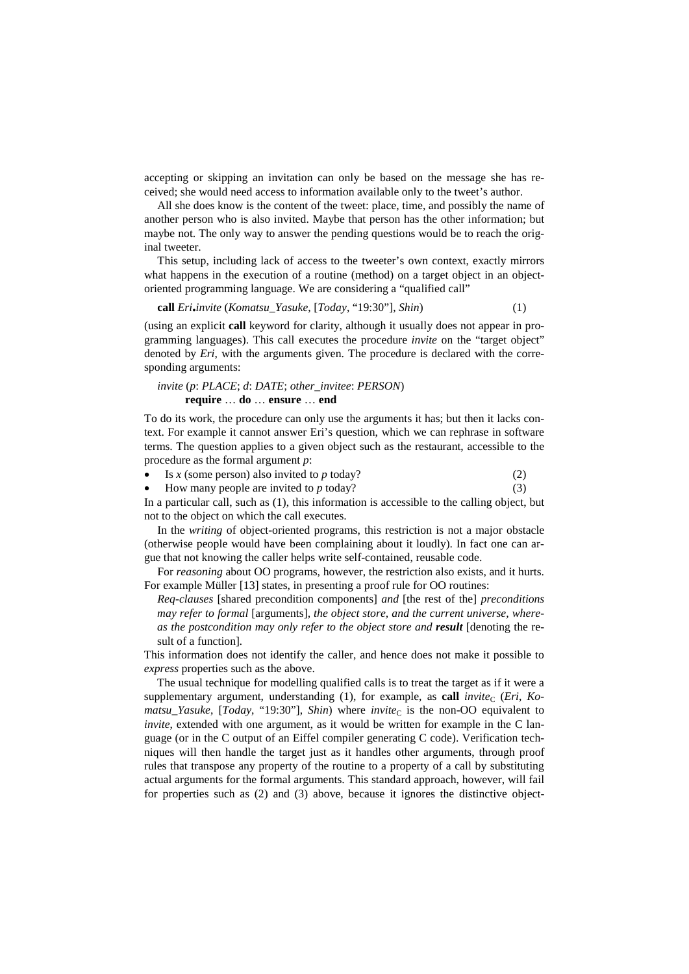accepting or skipping an invitation can only be based on the message she has received; she would need access to information available only to the tweet's author.

All she does know is the content of the tweet: place, time, and possibly the name of another person who is also invited. Maybe that person has the other information; but maybe not. The only way to answer the pending questions would be to reach the original tweeter.

This setup, including lack of access to the tweeter's own context, exactly mirrors what happens in the execution of a routine (method) on a target object in an objectoriented programming language. We are considering a "qualified call"

**call** *Eri*<sub>*i*</sub>*invite* (*Komatsu\_Yasuke*, [*Today*, "19:30"], *Shin*) (1)

(using an explicit **call** keyword for clarity, although it usually does not appear in programming languages). This call executes the procedure *invite* on the "target object" denoted by *Eri*, with the arguments given. The procedure is declared with the corresponding arguments:

### *invite* (*p*: *PLACE*; *d*: *DATE*; *other\_invitee*: *PERSON*) **require** … **do** … **ensure** … **end**

To do its work, the procedure can only use the arguments it has; but then it lacks context. For example it cannot answer Eri's question, which we can rephrase in software terms. The question applies to a given object such as the restaurant, accessible to the procedure as the formal argument *p*:

|  | Is x (some person) also invited to $p$ today? |  |
|--|-----------------------------------------------|--|
|--|-----------------------------------------------|--|

 $\frac{1}{2}$  How many people are invited to *p* today? (3)

In a particular call, such as (1), this information is accessible to the calling object, but not to the object on which the call executes.

In the *writing* of object-oriented programs, this restriction is not a major obstacle (otherwise people would have been complaining about it loudly). In fact one can argue that not knowing the caller helps write self-contained, reusable code.

For *reasoning* about OO programs, however, the restriction also exists, and it hurts. For example Müller [\[13\]](#page-16-0) states, in presenting a proof rule for OO routines:

*Req-clauses* [shared precondition components] *and* [the rest of the] *preconditions may refer to formal* [arguments]*, the object store, and the current universe, whereas the postcondition may only refer to the object store and <i>result* [denoting the result of a function]*.*

This information does not identify the caller, and hence does not make it possible to *express* properties such as the above.

The usual technique for modelling qualified calls is to treat the target as if it were a supplementary argument, understanding  $(1)$ , for example, as **call** *invite*<sub>C</sub> (*Eri*, *Komatsu\_Yasuke*, [*Today*, "19:30"], *Shin*) where *invite*<sub>C</sub> is the non-OO equivalent to *invite*, extended with one argument, as it would be written for example in the C language (or in the C output of an Eiffel compiler generating C code). Verification techniques will then handle the target just as it handles other arguments, through proof rules that transpose any property of the routine to a property of a call by substituting actual arguments for the formal arguments. This standard approach, however, will fail for properties such as (2) and (3) above, because it ignores the distinctive object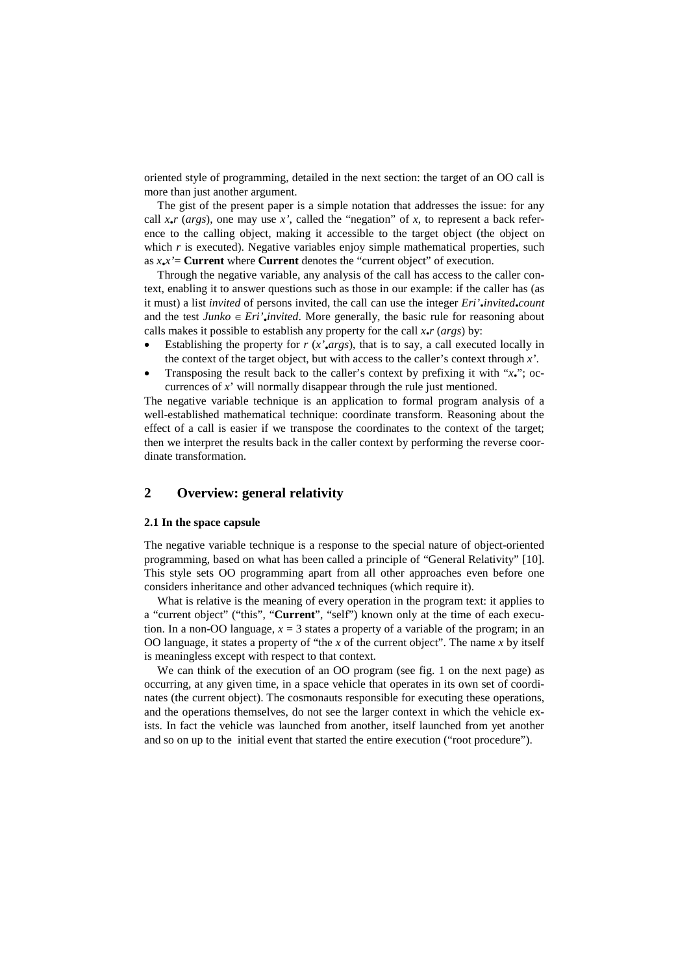oriented style of programming, detailed in the next section: the target of an OO call is more than just another argument.

The gist of the present paper is a simple notation that addresses the issue: for any call  $x \cdot r$  (*args*), one may use *x'*, called the "negation" of *x*, to represent a back reference to the calling object, making it accessible to the target object (the object on which  $r$  is executed). Negative variables enjoy simple mathematical properties, such as  $x \cdot x' =$  **Current** where **Current** denotes the "current object" of execution.

Through the negative variable, any analysis of the call has access to the caller context, enabling it to answer questions such as those in our example: if the caller has (as it must) a list *invited* of persons invited, the call can use the integer *Eri'ainvited*<sub>*count***</del>**</sub> and the test  $Junko \in Eri'$ *invited*. More generally, the basic rule for reasoning about calls makes it possible to establish any property for the call  $x_i r \, (args)$  by:

- Establishing the property for  $r(x')$  *args*), that is to say, a call executed locally in the context of the target object, but with access to the caller's context through *x'*.
- Transposing the result back to the caller's context by prefixing it with "*x*<sup>\*</sup>"; occurrences of *x*' will normally disappear through the rule just mentioned.

The negative variable technique is an application to formal program analysis of a well-established mathematical technique: coordinate transform. Reasoning about the effect of a call is easier if we transpose the coordinates to the context of the target; then we interpret the results back in the caller context by performing the reverse coordinate transformation.

# **2 Overview: general relativity**

#### **2.1 In the space capsule**

The negative variable technique is a response to the special nature of object-oriented programming, based on what has been called a principle of "General Relativity" [\[10\]](#page-16-1). This style sets OO programming apart from all other approaches even before one considers inheritance and other advanced techniques (which require it).

What is relative is the meaning of every operation in the program text: it applies to a "current object" ("this", "**Current**", "self") known only at the time of each execution. In a non-OO language,  $x = 3$  states a property of a variable of the program; in an OO language, it states a property of "the *x* of the current object". The name *x* by itself is meaningless except with respect to that context.

We can think of the execution of an OO program (see fig. 1 on the next page) as occurring, at any given time, in a space vehicle that operates in its own set of coordinates (the current object). The cosmonauts responsible for executing these operations, and the operations themselves, do not see the larger context in which the vehicle exists. In fact the vehicle was launched from another, itself launched from yet another and so on up to the initial event that started the entire execution ("root procedure").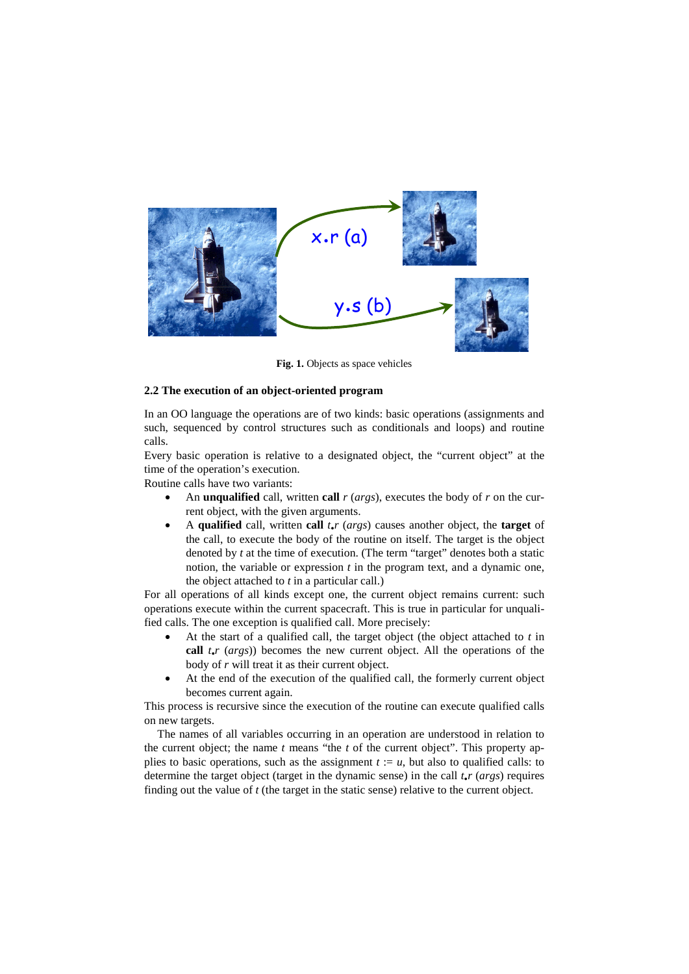

**Fig. 1.** Objects as space vehicles

### **2.2 The execution of an object-oriented program**

In an OO language the operations are of two kinds: basic operations (assignments and such, sequenced by control structures such as conditionals and loops) and routine calls.

Every basic operation is relative to a designated object, the "current object" at the time of the operation's execution.

Routine calls have two variants:

- An **unqualified** call, written **call** *r* (*args*), executes the body of *r* on the current object, with the given arguments.
- A **qualified** call, written **call** *t<sub>•</sub>r* (*args*) causes another object, the **target** of the call, to execute the body of the routine on itself. The target is the object denoted by *t* at the time of execution. (The term "target" denotes both a static notion, the variable or expression *t* in the program text, and a dynamic one, the object attached to *t* in a particular call.)

For all operations of all kinds except one, the current object remains current: such operations execute within the current spacecraft. This is true in particular for unqualified calls. The one exception is qualified call. More precisely:

- At the start of a qualified call, the target object (the object attached to *t* in call  $t \cdot r$  ( $args$ )) becomes the new current object. All the operations of the body of *r* will treat it as their current object.
- At the end of the execution of the qualified call, the formerly current object becomes current again.

This process is recursive since the execution of the routine can execute qualified calls on new targets.

The names of all variables occurring in an operation are understood in relation to the current object; the name *t* means "the *t* of the current object". This property applies to basic operations, such as the assignment  $t := u$ , but also to qualified calls: to determine the target object (target in the dynamic sense) in the call *t*<sub>*•r*</sub> (*args*) requires finding out the value of *t* (the target in the static sense) relative to the current object.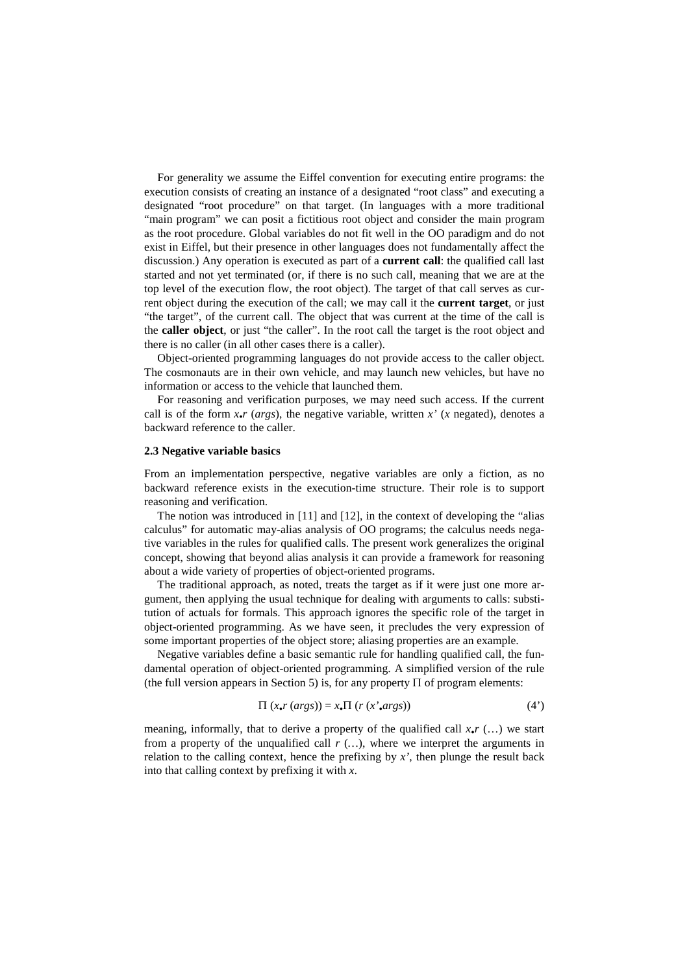For generality we assume the Eiffel convention for executing entire programs: the execution consists of creating an instance of a designated "root class" and executing a designated "root procedure" on that target. (In languages with a more traditional "main program" we can posit a fictitious root object and consider the main program as the root procedure. Global variables do not fit well in the OO paradigm and do not exist in Eiffel, but their presence in other languages does not fundamentally affect the discussion.) Any operation is executed as part of a **current call**: the qualified call last started and not yet terminated (or, if there is no such call, meaning that we are at the top level of the execution flow, the root object). The target of that call serves as current object during the execution of the call; we may call it the **current target**, or just "the target", of the current call. The object that was current at the time of the call is the **caller object**, or just "the caller". In the root call the target is the root object and there is no caller (in all other cases there is a caller).

Object-oriented programming languages do not provide access to the caller object. The cosmonauts are in their own vehicle, and may launch new vehicles, but have no information or access to the vehicle that launched them.

For reasoning and verification purposes, we may need such access. If the current call is of the form  $x \cdot r$  (*args*), the negative variable, written  $x'$  (*x* negated), denotes a backward reference to the caller.

#### **2.3 Negative variable basics**

From an implementation perspective, negative variables are only a fiction, as no backward reference exists in the execution-time structure. Their role is to support reasoning and verification.

The notion was introduced in [\[11\]](#page-16-2) and [\[12\]](#page-16-3), in the context of developing the "alias calculus" for automatic may-alias analysis of OO programs; the calculus needs negative variables in the rules for qualified calls. The present work generalizes the original concept, showing that beyond alias analysis it can provide a framework for reasoning about a wide variety of properties of object-oriented programs.

The traditional approach, as noted, treats the target as if it were just one more argument, then applying the usual technique for dealing with arguments to calls: substitution of actuals for formals. This approach ignores the specific role of the target in object-oriented programming. As we have seen, it precludes the very expression of some important properties of the object store; aliasing properties are an example.

Negative variables define a basic semantic rule for handling qualified call, the fundamental operation of object-oriented programming. A simplified version of the rule (the full version appears in Section [5\)](#page-9-0) is, for any property  $\Pi$  of program elements:

$$
\Pi\left(x \cdot r\left( args\right)\right) = x \cdot \Pi\left(r\left(x' \cdot args\right)\right) \tag{4'}
$$

meaning, informally, that to derive a property of the qualified call  $x_i$  $r$  (...) we start from a property of the unqualified call  $r$  (...), where we interpret the arguments in relation to the calling context, hence the prefixing by *x'*, then plunge the result back into that calling context by prefixing it with *x*.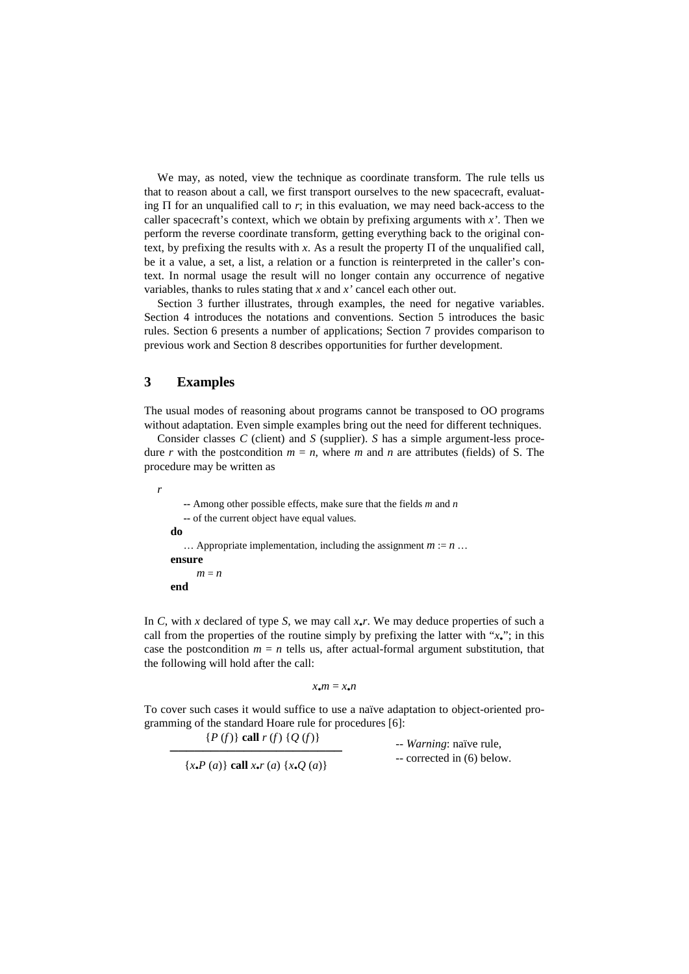We may, as noted, view the technique as coordinate transform. The rule tells us that to reason about a call, we first transport ourselves to the new spacecraft, evaluating  $\Pi$  for an unqualified call to  $r$ ; in this evaluation, we may need back-access to the caller spacecraft's context, which we obtain by prefixing arguments with *x'*. Then we perform the reverse coordinate transform, getting everything back to the original context, by prefixing the results with x. As a result the property  $\Pi$  of the unqualified call, be it a value, a set, a list, a relation or a function is reinterpreted in the caller's context. In normal usage the result will no longer contain any occurrence of negative variables, thanks to rules stating that *x* and *x'* cancel each other out.

Section [3](#page-5-0) further illustrates, through examples, the need for negative variables. Section [4](#page-8-0) introduces the notations and conventions. Section [5](#page-9-0) introduces the basic rules. Section [6](#page-11-0) presents a number of applications; Section [7](#page-13-0) provides comparison to previous work and Section [8](#page-15-0) describes opportunities for further development.

### <span id="page-5-0"></span>**3 Examples**

*r*

The usual modes of reasoning about programs cannot be transposed to OO programs without adaptation. Even simple examples bring out the need for different techniques.

Consider classes *C* (client) and *S* (supplier). *S* has a simple argument-less procedure *r* with the postcondition  $m = n$ , where *m* and *n* are attributes (fields) of S. The procedure may be written as

**--** Among other possible effects, make sure that the fields *m* and *n* **--** of the current object have equal values. **do**  $\ldots$  Appropriate implementation, including the assignment  $m := n \ldots$ **ensure**  $m = n$ **end**

In *C*, with *x* declared of type *S*, we may call *x*<sub>*b*</sub><sup>*r*</sup>. We may deduce properties of such a call from the properties of the routine simply by prefixing the latter with " $x<sub>•</sub>$ "; in this case the postcondition  $m = n$  tells us, after actual-formal argument substitution, that the following will hold after the call:

 $x \cdot m = x \cdot n$ 

To cover such cases it would suffice to use a naïve adaptation to object-oriented programming of the standard Hoare rule for procedures [\[6\]](#page-16-4):

{*P* (*f*)} **call** *r* (*f*) {*Q* (*f*)} ─────────────────────

-- *Warning*: naïve rule, -- corrected in (6) below.

 ${x, P(a)}$  **call**  $x, r(a)$   ${x, Q(a)}$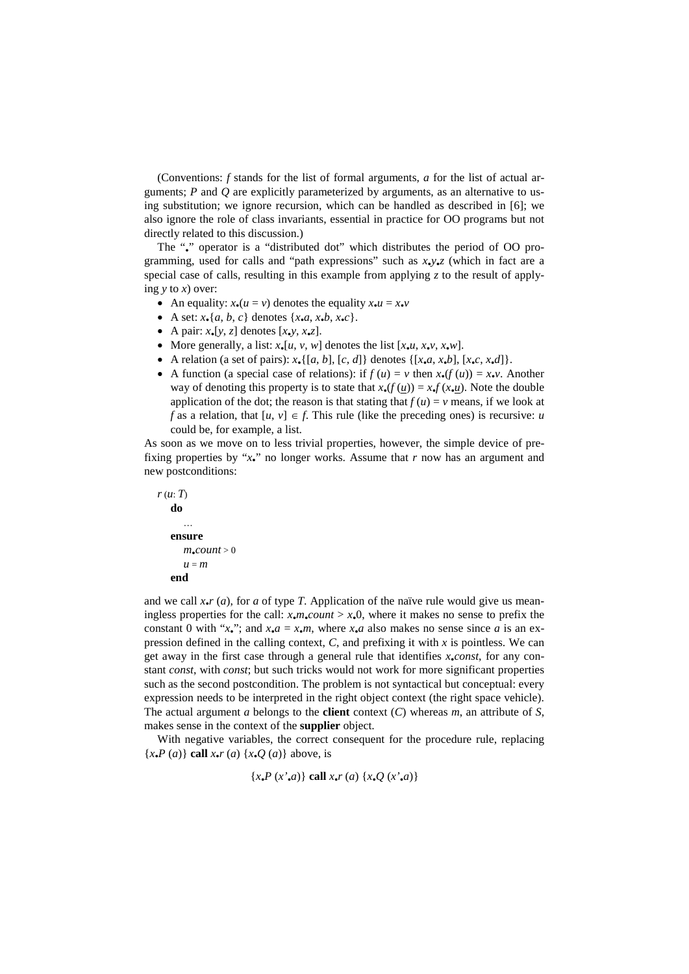(Conventions: *f* stands for the list of formal arguments, *a* for the list of actual arguments; *P* and *Q* are explicitly parameterized by arguments, as an alternative to using substitution; we ignore recursion, which can be handled as described in [\[6\]](#page-16-4); we also ignore the role of class invariants, essential in practice for OO programs but not directly related to this discussion.)

The "•" operator is a "distributed dot" which distributes the period of OO programming, used for calls and "path expressions" such as  $x \rightarrow y \rightarrow z$  (which in fact are a special case of calls, resulting in this example from applying  $z$  to the result of applying *y* to *x*) over:

- An equality:  $x_{\bullet}(u = v)$  denotes the equality  $x_{\bullet}u = x_{\bullet}v$
- A set:  $x_{\bullet}\{a, b, c\}$  denotes  $\{x_{\bullet}a, x_{\bullet}b, x_{\bullet}c\}$ .
- A pair:  $x_e[y, z]$  denotes  $[x, y, x_e z]$ .
- More generally, a list:  $x \cdot [u, v, w]$  denotes the list  $[x \cdot u, x \cdot v, x \cdot w]$ .
- A relation (a set of pairs):  $x_{\bullet} \{ [a, b], [c, d] \}$  denotes  $\{ [x_{\bullet}a, x_{\bullet}b], [x_{\bullet}c, x_{\bullet}d] \}.$
- A function (a special case of relations): if  $f(u) = v$  then  $x_{\bullet}(f(u)) = x_{\bullet}v$ . Another way of denoting this property is to state that  $x_{\bullet}(f(u)) = x_{\bullet}f(x_{\bullet}u)$ . Note the double application of the dot; the reason is that stating that  $f(u) = v$  means, if we look at *f* as a relation, that  $[u, v] \in f$ . This rule (like the preceding ones) is recursive: *u* could be, for example, a list.

As soon as we move on to less trivial properties, however, the simple device of prefixing properties by " $x^*$ " no longer works. Assume that  $r$  now has an argument and new postconditions:

```
r (u: T)
do
    …
ensure
   m_{\bullet} count > 0u = m
end
```
and we call  $x \cdot r$  (*a*), for *a* of type *T*. Application of the naïve rule would give us meaningless properties for the call:  $x \cdot m \cdot count > x \cdot 0$ , where it makes no sense to prefix the constant 0 with " $x \cdot \infty$ "; and  $x \cdot a = x \cdot \infty$ , where  $x \cdot a$  also makes no sense since *a* is an expression defined in the calling context, *C*, and prefixing it with *x* is pointless. We can get away in the first case through a general rule that identifies  $x_{\bullet}const$ , for any constant *const*, with *const*; but such tricks would not work for more significant properties such as the second postcondition. The problem is not syntactical but conceptual: every expression needs to be interpreted in the right object context (the right space vehicle). The actual argument *a* belongs to the **client** context (*C*) whereas *m*, an attribute of *S*, makes sense in the context of the **supplier** object.

With negative variables, the correct consequent for the procedure rule, replacing  ${x, P(a)}$  call  $x, r(a)$   ${x, Q(a)}$  above, is

$$
\{x_{\bullet}P(x^{\prime},a)\}\ \text{call}\ x_{\bullet}r\ (a)\ \{x_{\bullet}Q(x^{\prime},a)\}\
$$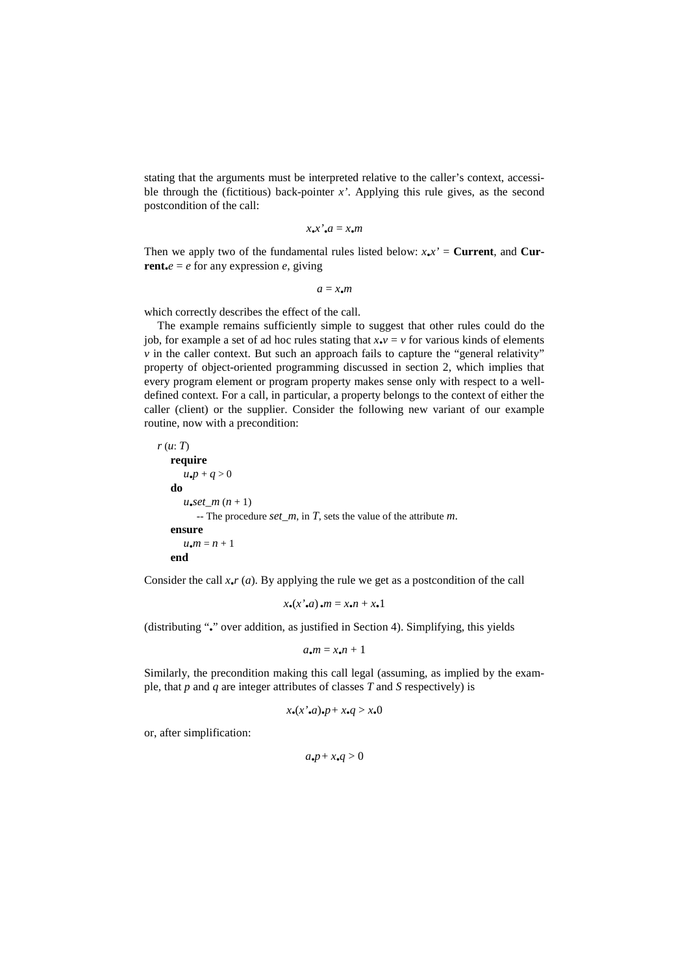stating that the arguments must be interpreted relative to the caller's context, accessible through the (fictitious) back-pointer  $x'$ . Applying this rule gives, as the second postcondition of the call:

$$
x \cdot x' \cdot a = x \cdot m
$$

Then we apply two of the fundamental rules listed below:  $x_*x' =$  **Current**, and **Current**<sub>*•</sub>e* = *e* for any expression *e*, giving</sub>

 $a = x \cdot m$ 

which correctly describes the effect of the call.

The example remains sufficiently simple to suggest that other rules could do the job, for example a set of ad hoc rules stating that  $x \cdot v = v$  for various kinds of elements  $\nu$  in the caller context. But such an approach fails to capture the "general relativity" property of object-oriented programming discussed in section 2, which implies that every program element or program property makes sense only with respect to a welldefined context. For a call, in particular, a property belongs to the context of either the caller (client) or the supplier. Consider the following new variant of our example routine, now with a precondition:

```
r (u: T)
require
   u \cdot p + q > 0do
    u<sup>•</sup>set m(n+1)-- The procedure set_m, in T, sets the value of the attribute m.
ensure
    u_{\bullet} m = n + 1end
```
Consider the call  $x \cdot r$  (*a*). By applying the rule we get as a postcondition of the call

 $x_{\bullet}(x', a)$  *,m* =  $x_{\bullet}n + x_{\bullet}1$ 

(distributing "," over addition, as justified in Section [4\)](#page-8-0). Simplifying, this yields

$$
a_{\bullet}m=x_{\bullet}n+1
$$

Similarly, the precondition making this call legal (assuming, as implied by the example, that *p* and *q* are integer attributes of classes *T* and *S* respectively) is

$$
x \cdot (x' \cdot a) \cdot p + x \cdot q > x \cdot 0
$$

or, after simplification:

$$
a_{\bullet}p + x_{\bullet}q > 0
$$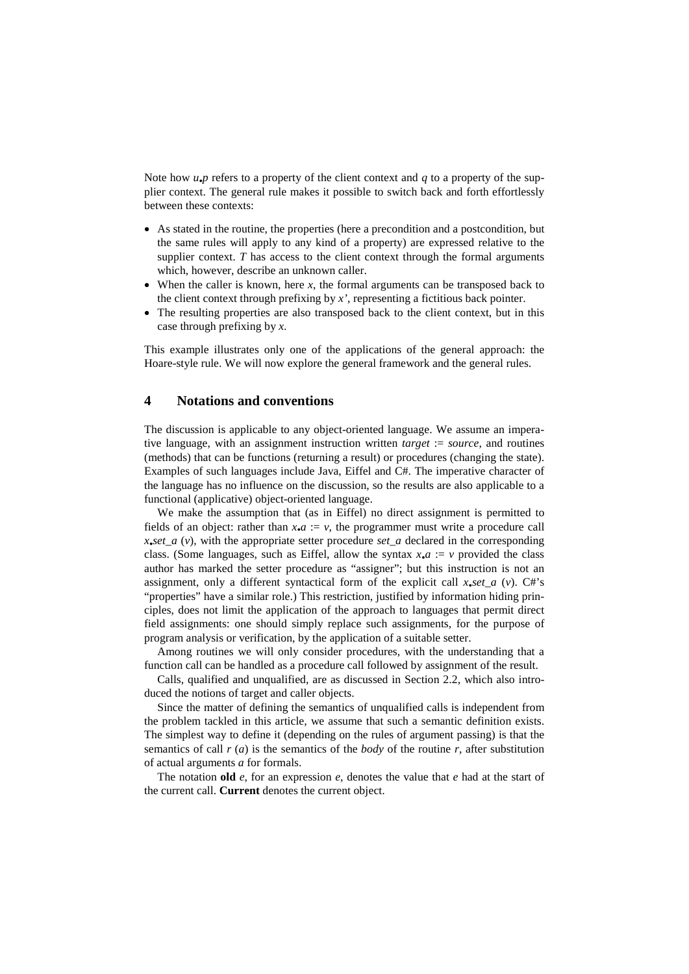Note how  $u \cdot p$  refers to a property of the client context and *q* to a property of the supplier context. The general rule makes it possible to switch back and forth effortlessly between these contexts:

- As stated in the routine, the properties (here a precondition and a postcondition, but the same rules will apply to any kind of a property) are expressed relative to the supplier context. *T* has access to the client context through the formal arguments which, however, describe an unknown caller.
- When the caller is known, here  $x$ , the formal arguments can be transposed back to the client context through prefixing by *x'*, representing a fictitious back pointer.
- The resulting properties are also transposed back to the client context, but in this case through prefixing by *x*.

This example illustrates only one of the applications of the general approach: the Hoare-style rule. We will now explore the general framework and the general rules.

# <span id="page-8-0"></span>**4 Notations and conventions**

The discussion is applicable to any object-oriented language. We assume an imperative language, with an assignment instruction written *target* := *source*, and routines (methods) that can be functions (returning a result) or procedures (changing the state). Examples of such languages include Java, Eiffel and C#. The imperative character of the language has no influence on the discussion, so the results are also applicable to a functional (applicative) object-oriented language.

We make the assumption that (as in Eiffel) no direct assignment is permitted to fields of an object: rather than  $x \cdot a := v$ , the programmer must write a procedure call *x*<sub>**•**set a (*v*), with the appropriate setter procedure *set* a declared in the corresponding</sub> class. (Some languages, such as Eiffel, allow the syntax  $x \cdot a := v$  provided the class author has marked the setter procedure as "assigner"; but this instruction is not an assignment, only a different syntactical form of the explicit call  $x$ *, set\_a* (*v*). C#'s "properties" have a similar role.) This restriction, justified by information hiding principles, does not limit the application of the approach to languages that permit direct field assignments: one should simply replace such assignments, for the purpose of program analysis or verification, by the application of a suitable setter.

Among routines we will only consider procedures, with the understanding that a function call can be handled as a procedure call followed by assignment of the result.

Calls, qualified and unqualified, are as discussed in Section 2.2, which also introduced the notions of target and caller objects.

Since the matter of defining the semantics of unqualified calls is independent from the problem tackled in this article, we assume that such a semantic definition exists. The simplest way to define it (depending on the rules of argument passing) is that the semantics of call *r* (*a*) is the semantics of the *body* of the routine *r*, after substitution of actual arguments *a* for formals.

The notation **old** *e*, for an expression *e*, denotes the value that *e* had at the start of the current call. **Current** denotes the current object.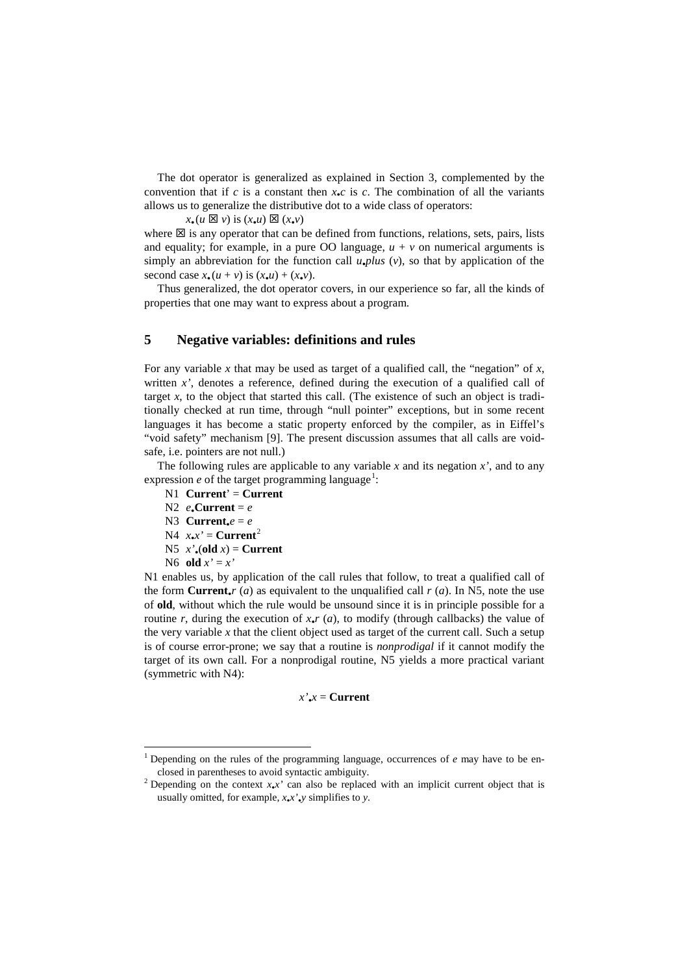The dot operator is generalized as explained in Section 3, complemented by the convention that if *c* is a constant then *x*<sub>*a*</sub>*c* is *c*. The combination of all the variants allows us to generalize the distributive dot to a wide class of operators:

 $x \cdot (u \boxtimes v)$  is  $(x \cdot u) \boxtimes (x \cdot v)$ 

where  $\boxtimes$  is any operator that can be defined from functions, relations, sets, pairs, lists and equality; for example, in a pure OO language,  $u + v$  on numerical arguments is simply an abbreviation for the function call  $u<sub>e</sub>$ *plus* (*v*), so that by application of the second case  $x_{\bullet}(u + v)$  is  $(x_{\bullet}u) + (x_{\bullet}v)$ .

Thus generalized, the dot operator covers, in our experience so far, all the kinds of properties that one may want to express about a program.

# <span id="page-9-0"></span>**5 Negative variables: definitions and rules**

For any variable *x* that may be used as target of a qualified call, the "negation" of *x*, written *x'*, denotes a reference, defined during the execution of a qualified call of target *x*, to the object that started this call. (The existence of such an object is traditionally checked at run time, through "null pointer" exceptions, but in some recent languages it has become a static property enforced by the compiler, as in Eiffel's "void safety" mechanism [\[9\]](#page-16-5). The present discussion assumes that all calls are voidsafe, i.e. pointers are not null.)

The following rules are applicable to any variable *x* and its negation *x'*, and to any expression  $e$  of the target programming language<sup>[1](#page-9-4)</sup>:

- <span id="page-9-1"></span>N1 **Current**' = **Current**
- $N2$  *e***. Current** = *e*
- <span id="page-9-7"></span>N3 **Current**<sub>*e*</sub> $e = e$
- <span id="page-9-3"></span> $N4$   $x \cdot x' =$ **Current**<sup>[2](#page-9-5)</sup>
- <span id="page-9-2"></span>N5  $x'$ <sup> $\bullet$ </sup> (old  $x$ ) = **Current**
- N6 **old**  $x' = x'$

<span id="page-9-6"></span>[N1](#page-9-1) enables us, by application of the call rules that follow, to treat a qualified call of the form **Current**<sub>*f*</sub> (*a*) as equivalent to the unqualified call *r* (*a*). In [N5,](#page-9-2) note the use of **old**, without which the rule would be unsound since it is in principle possible for a routine *r*, during the execution of  $x \cdot r$  (*a*), to modify (through callbacks) the value of the very variable  $x$  that the client object used as target of the current call. Such a setup is of course error-prone; we say that a routine is *nonprodigal* if it cannot modify the target of its own call. For a nonprodigal routine, [N5](#page-9-2) yields a more practical variant (symmetric with [N4\)](#page-9-3):

#### $x'$ *x* = **Current**

<span id="page-9-4"></span><sup>&</sup>lt;sup>1</sup> Depending on the rules of the programming language, occurrences of  $e$  may have to be enclosed in parentheses to avoid syntactic ambiguity.

<span id="page-9-5"></span><sup>&</sup>lt;sup>2</sup> Depending on the context  $x \cdot \hat{x}$  can also be replaced with an implicit current object that is usually omitted, for example,  $x \cdot x' \cdot y$  simplifies to *y*.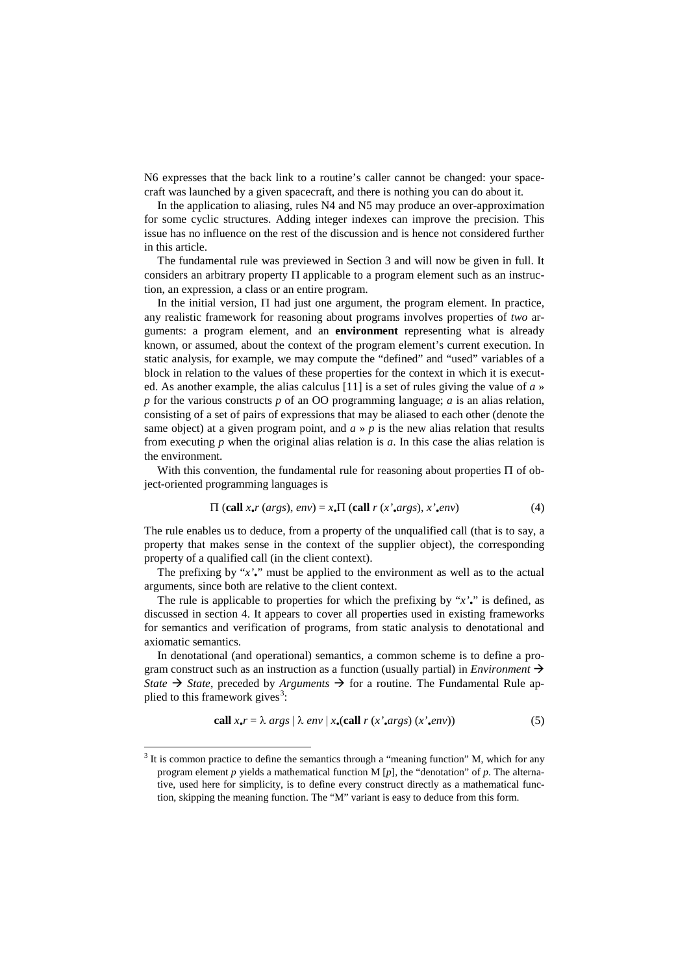[N6](#page-9-6) expresses that the back link to a routine's caller cannot be changed: your spacecraft was launched by a given spacecraft, and there is nothing you can do about it.

In the application to aliasing, rules N4 and N5 may produce an over-approximation for some cyclic structures. Adding integer indexes can improve the precision. This issue has no influence on the rest of the discussion and is hence not considered further in this article.

The fundamental rule was previewed in Section [3](#page-5-0) and will now be given in full. It considers an arbitrary property Π applicable to a program element such as an instruction, an expression, a class or an entire program.

In the initial version,  $\Pi$  had just one argument, the program element. In practice, any realistic framework for reasoning about programs involves properties of *two* arguments: a program element, and an **environment** representing what is already known, or assumed, about the context of the program element's current execution. In static analysis, for example, we may compute the "defined" and "used" variables of a block in relation to the values of these properties for the context in which it is executed. As another example, the alias calculus [\[11\]](#page-16-2) is a set of rules giving the value of *a* » *p* for the various constructs *p* of an OO programming language; *a* is an alias relation, consisting of a set of pairs of expressions that may be aliased to each other (denote the same object) at a given program point, and  $a \rightarrow p$  is the new alias relation that results from executing *p* when the original alias relation is *a*. In this case the alias relation is the environment.

With this convention, the fundamental rule for reasoning about properties Π of object-oriented programming languages is

$$
\Pi \left( \text{call } x \text{·r } (args), env \right) = x \text{·} \Pi \left( \text{call } r \left( x \text{·} args), x \text{·} env \right) \tag{4}
$$

The rule enables us to deduce, from a property of the unqualified call (that is to say, a property that makes sense in the context of the supplier object), the corresponding property of a qualified call (in the client context).

The prefixing by " $x'$ " must be applied to the environment as well as to the actual arguments, since both are relative to the client context.

The rule is applicable to properties for which the prefixing by " $x'$ " is defined, as discussed in section 4. It appears to cover all properties used in existing frameworks for semantics and verification of programs, from static analysis to denotational and axiomatic semantics.

In denotational (and operational) semantics, a common scheme is to define a program construct such as an instruction as a function (usually partial) in *Environment*  $\rightarrow$ *State*  $\rightarrow$  *State*, preceded by *Arguments*  $\rightarrow$  for a routine. The Fundamental Rule ap-plied to this framework gives<sup>[3](#page-10-0)</sup>:

$$
\text{call } x_{\bullet} r = \lambda \text{ args } | \lambda \text{ env } | x_{\bullet}(\text{call } r \text{ (x'}_{\bullet} args) \text{ (x'}_{\bullet} env))
$$
\n
$$
\tag{5}
$$

<span id="page-10-0"></span><sup>&</sup>lt;sup>3</sup> It is common practice to define the semantics through a "meaning function" M, which for any program element *p* yields a mathematical function M [*p*], the "denotation" of *p*. The alternative, used here for simplicity, is to define every construct directly as a mathematical function, skipping the meaning function. The "M" variant is easy to deduce from this form.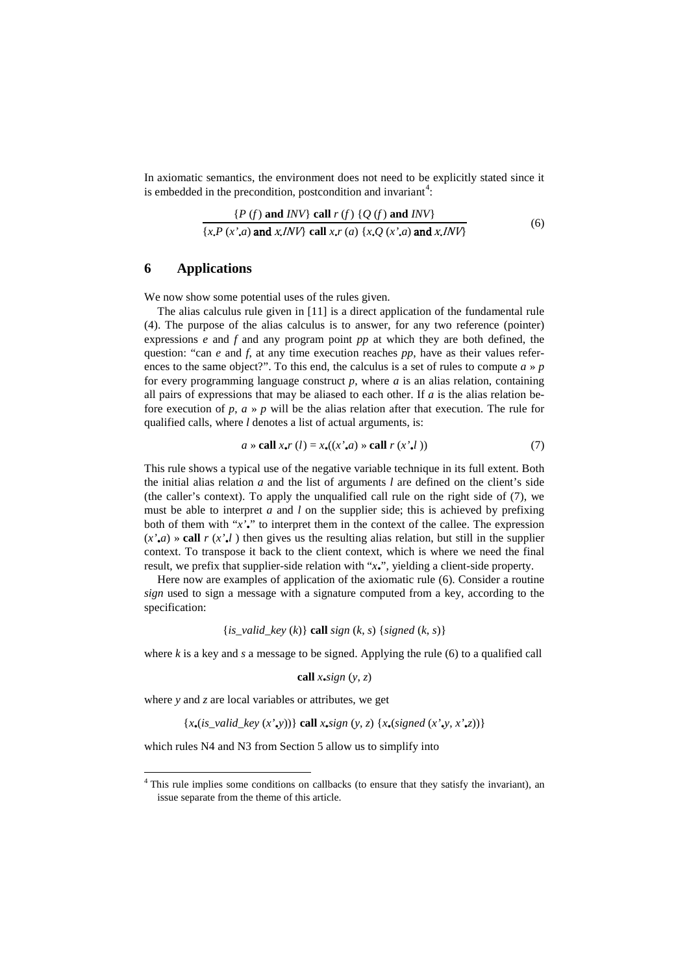In axiomatic semantics, the environment does not need to be explicitly stated since it is embedded in the precondition, postcondition and invariant<sup>[4](#page-11-1)</sup>:

$$
\frac{\{P(f) \text{ and } \textit{INV}\} \text{ call } r(f) \{Q(f) \text{ and } \textit{INV}\}}{\{x.P(x', a) \text{ and } x.\textit{INV}\} \text{ call } x.r(a) \{x.Q(x', a) \text{ and } x.\textit{INV}\}}
$$
(6)

### <span id="page-11-0"></span>**6 Applications**

We now show some potential uses of the rules given.

The alias calculus rule given in [\[11\]](#page-16-2) is a direct application of the fundamental rule (4). The purpose of the alias calculus is to answer, for any two reference (pointer) expressions *e* and *f* and any program point *pp* at which they are both defined, the question: "can *e* and *f*, at any time execution reaches *pp*, have as their values references to the same object?". To this end, the calculus is a set of rules to compute  $a \gg p$ for every programming language construct  $p$ , where  $a$  is an alias relation, containing all pairs of expressions that may be aliased to each other. If *a* is the alias relation before execution of *p*, *a* » *p* will be the alias relation after that execution. The rule for qualified calls, where *l* denotes a list of actual arguments, is:

$$
a \gg \text{call } x \cdot r \ (l) = x \cdot ((x' \cdot a) \gg \text{call } r \ (x' \cdot l \ )) \tag{7}
$$

This rule shows a typical use of the negative variable technique in its full extent. Both the initial alias relation  $a$  and the list of arguments  $l$  are defined on the client's side (the caller's context). To apply the unqualified call rule on the right side of (7), we must be able to interpret *a* and *l* on the supplier side; this is achieved by prefixing both of them with " $x'$ " to interpret them in the context of the callee. The expression  $(x', a)$  » call  $r(x', l)$  then gives us the resulting alias relation, but still in the supplier context. To transpose it back to the client context, which is where we need the final result, we prefix that supplier-side relation with "*x*<sub>*•*</sub>", yielding a client-side property.

Here now are examples of application of the axiomatic rule (6). Consider a routine *sign* used to sign a message with a signature computed from a key, according to the specification:

$$
\{is\_valid\_key(k)\}
$$
 **call**  $sign(k, s)$  
$$
\{signed(k, s)\}
$$

where  $k$  is a key and  $s$  a message to be signed. Applying the rule  $(6)$  to a qualified call

$$
call x \cdot sign (y, z)
$$

where *y* and *z* are local variables or attributes, we get

{*x●*(*is\_valid\_key* (*x'●y*))} **call** *x●sign* (*y*, *z*) {*x●*(*signed* (*x'●y*, *x'●z*))}

which rules [N4](#page-9-3) and [N3](#page-9-7) from Section 5 allow us to simplify into

<span id="page-11-1"></span><sup>&</sup>lt;sup>4</sup> This rule implies some conditions on callbacks (to ensure that they satisfy the invariant), an issue separate from the theme of this article.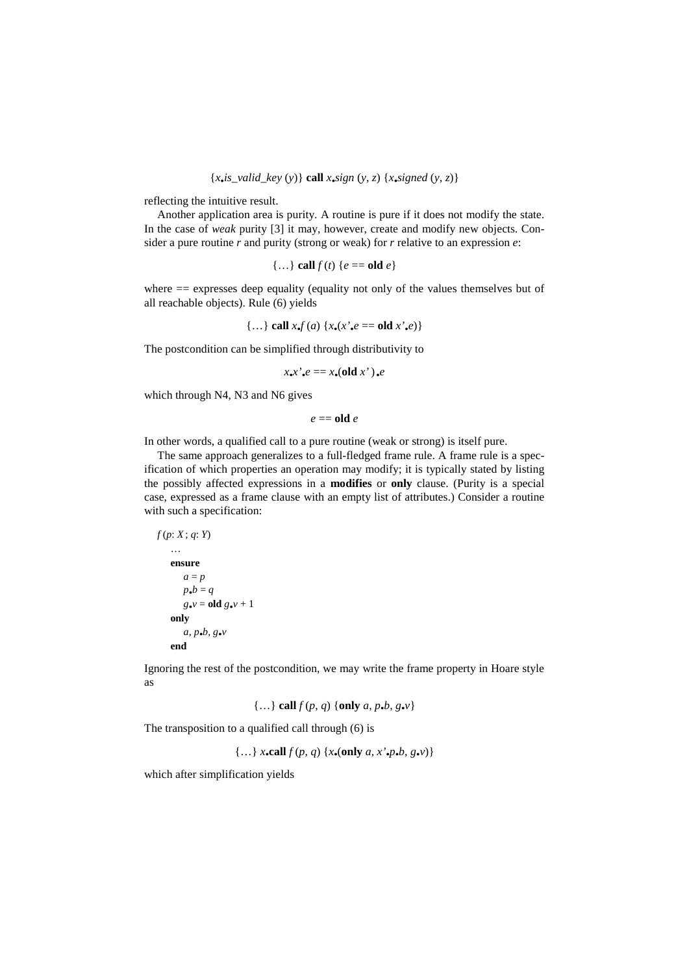${x_i}$ *is* valid *key* (*y*)} **call**  $x$ *•sign* (*y*, *z*) {*x•signed* (*y*, *z*)}

reflecting the intuitive result.

Another application area is purity. A routine is pure if it does not modify the state. In the case of *weak* purity [\[3\]](#page-16-6) it may, however, create and modify new objects. Consider a pure routine *r* and purity (strong or weak) for *r* relative to an expression *e*:

$$
\{\ldots\} \operatorname{call} f(t) \{e == \text{old } e\}
$$

where  $=$  expresses deep equality (equality not only of the values themselves but of all reachable objects). Rule (6) yields

$$
\{\ldots\} \operatorname{call} x \mathbf{.} f(a) \{x \mathbf{.} (x' \mathbf{.} e == \mathbf{old} x' \mathbf{.} e)\}
$$

The postcondition can be simplified through distributivity to

$$
x \cdot x' \cdot e == x \cdot (old \; x') \cdot e
$$

which through [N4,](#page-9-3) [N3](#page-9-7) and [N6](#page-9-6) gives

 $e ==$ **old**  $e$ 

In other words, a qualified call to a pure routine (weak or strong) is itself pure.

The same approach generalizes to a full-fledged frame rule. A frame rule is a specification of which properties an operation may modify; it is typically stated by listing the possibly affected expressions in a **modifies** or **only** clause. (Purity is a special case, expressed as a frame clause with an empty list of attributes.) Consider a routine with such a specification:

```
f (p: X ; q: Y)
  …
  ensure
       a = p
      p \cdot b = qg_{\bullet}v = \textbf{old } g_{\bullet}v + 1only
       a, p \cdot b, g \cdot vend
```
Ignoring the rest of the postcondition, we may write the frame property in Hoare style as

$$
\{\ldots\} \text{ call } f(p,q) \text{ \textbf{(only } a, p \textbf{.} b, g \textbf{.} v\}
$$

The transposition to a qualified call through (6) is

 $\{...\} x\text{-call } f(p, q) \{x\text{-}(only a, x'\text{-}p\text{-}b, g\text{-}v)\}$ 

which after simplification yields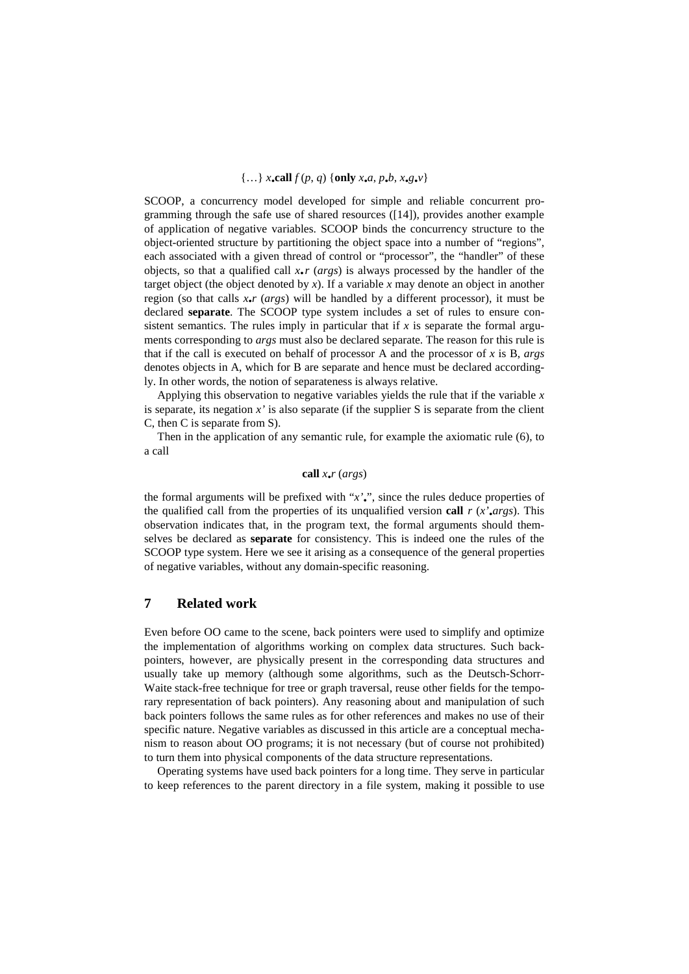$\{... \}$  *xcall* $f(p, q)$  **{only** *x***<sub>***a***</sub>** $a, p, b, x, g, v$ **}** 

SCOOP, a concurrency model developed for simple and reliable concurrent programming through the safe use of shared resources ([\[14\]](#page-16-7)), provides another example of application of negative variables. SCOOP binds the concurrency structure to the object-oriented structure by partitioning the object space into a number of "regions", each associated with a given thread of control or "processor", the "handler" of these objects, so that a qualified call  $x \cdot r$  (*args*) is always processed by the handler of the target object (the object denoted by *x*). If a variable *x* may denote an object in another region (so that calls  $x_i$ <sup>*r*</sup> (*args*) will be handled by a different processor), it must be declared **separate**. The SCOOP type system includes a set of rules to ensure consistent semantics. The rules imply in particular that if  $x$  is separate the formal arguments corresponding to *args* must also be declared separate. The reason for this rule is that if the call is executed on behalf of processor A and the processor of *x* is B, *args* denotes objects in A, which for B are separate and hence must be declared accordingly. In other words, the notion of separateness is always relative.

Applying this observation to negative variables yields the rule that if the variable *x* is separate, its negation  $x'$  is also separate (if the supplier S is separate from the client C, then C is separate from S).

Then in the application of any semantic rule, for example the axiomatic rule (6), to a call

### **call** *x●r* (*args*)

the formal arguments will be prefixed with " $x'$ ", since the rules deduce properties of the qualified call from the properties of its unqualified version call  $r(x')$  *args*). This observation indicates that, in the program text, the formal arguments should themselves be declared as **separate** for consistency. This is indeed one the rules of the SCOOP type system. Here we see it arising as a consequence of the general properties of negative variables, without any domain-specific reasoning.

# <span id="page-13-0"></span>**7 Related work**

Even before OO came to the scene, back pointers were used to simplify and optimize the implementation of algorithms working on complex data structures. Such backpointers, however, are physically present in the corresponding data structures and usually take up memory (although some algorithms, such as the Deutsch-Schorr-Waite stack-free technique for tree or graph traversal, reuse other fields for the temporary representation of back pointers). Any reasoning about and manipulation of such back pointers follows the same rules as for other references and makes no use of their specific nature. Negative variables as discussed in this article are a conceptual mechanism to reason about OO programs; it is not necessary (but of course not prohibited) to turn them into physical components of the data structure representations.

Operating systems have used back pointers for a long time. They serve in particular to keep references to the parent directory in a file system, making it possible to use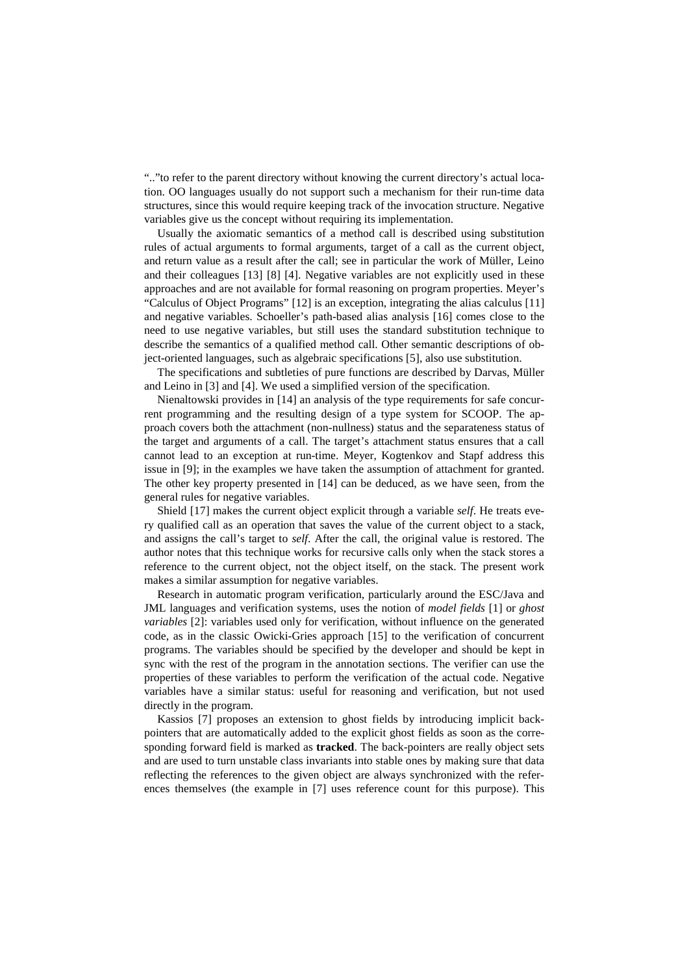".."to refer to the parent directory without knowing the current directory's actual location. OO languages usually do not support such a mechanism for their run-time data structures, since this would require keeping track of the invocation structure. Negative variables give us the concept without requiring its implementation.

Usually the axiomatic semantics of a method call is described using substitution rules of actual arguments to formal arguments, target of a call as the current object, and return value as a result after the call; see in particular the work of Müller, Leino and their colleagues [\[13\]](#page-16-0) [\[8\]](#page-16-8) [\[4\]](#page-16-9). Negative variables are not explicitly used in these approaches and are not available for formal reasoning on program properties. Meyer's "Calculus of Object Programs" [\[12\]](#page-16-3) is an exception, integrating the alias calculus [\[11\]](#page-16-2) and negative variables. Schoeller's path-based alias analysis [\[16\]](#page-16-10) comes close to the need to use negative variables, but still uses the standard substitution technique to describe the semantics of a qualified method call. Other semantic descriptions of object-oriented languages, such as algebraic specifications [\[5\]](#page-16-11), also use substitution.

The specifications and subtleties of pure functions are described by Darvas, Müller and Leino in [\[3\]](#page-16-6) and [\[4\]](#page-16-9). We used a simplified version of the specification.

Nienaltowski provides in [\[14\]](#page-16-7) an analysis of the type requirements for safe concurrent programming and the resulting design of a type system for SCOOP. The approach covers both the attachment (non-nullness) status and the separateness status of the target and arguments of a call. The target's attachment status ensures that a call cannot lead to an exception at run-time. Meyer, Kogtenkov and Stapf address this issue in [\[9\]](#page-16-5); in the examples we have taken the assumption of attachment for granted. The other key property presented in [\[14\]](#page-16-7) can be deduced, as we have seen, from the general rules for negative variables.

Shield [\[17\]](#page-16-12) makes the current object explicit through a variable *self*. He treats every qualified call as an operation that saves the value of the current object to a stack, and assigns the call's target to *self*. After the call, the original value is restored. The author notes that this technique works for recursive calls only when the stack stores a reference to the current object, not the object itself, on the stack. The present work makes a similar assumption for negative variables.

Research in automatic program verification, particularly around the ESC/Java and JML languages and verification systems, uses the notion of *model fields* [\[1\]](#page-16-13) or *ghost variables* [\[2\]](#page-16-14): variables used only for verification, without influence on the generated code, as in the classic Owicki-Gries approach [\[15\]](#page-16-15) to the verification of concurrent programs. The variables should be specified by the developer and should be kept in sync with the rest of the program in the annotation sections. The verifier can use the properties of these variables to perform the verification of the actual code. Negative variables have a similar status: useful for reasoning and verification, but not used directly in the program.

Kassios [\[7\]](#page-16-16) proposes an extension to ghost fields by introducing implicit backpointers that are automatically added to the explicit ghost fields as soon as the corresponding forward field is marked as **tracked**. The back-pointers are really object sets and are used to turn unstable class invariants into stable ones by making sure that data reflecting the references to the given object are always synchronized with the references themselves (the example in [\[7\]](#page-16-16) uses reference count for this purpose). This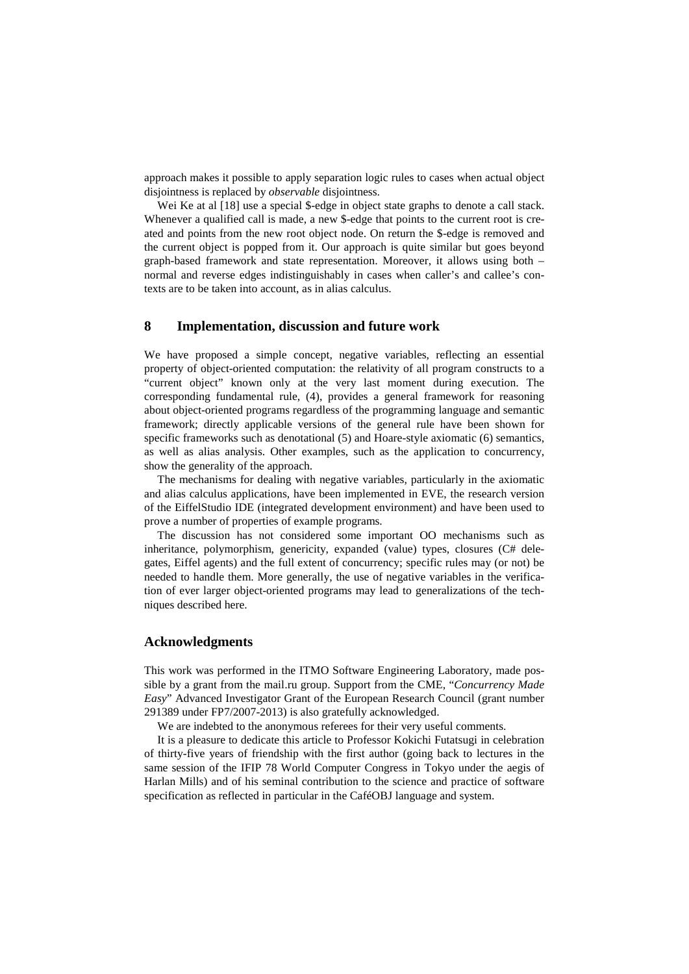approach makes it possible to apply separation logic rules to cases when actual object disjointness is replaced by *observable* disjointness.

Wei Ke at al [\[18\]](#page-16-17) use a special \$-edge in object state graphs to denote a call stack. Whenever a qualified call is made, a new \$-edge that points to the current root is created and points from the new root object node. On return the \$-edge is removed and the current object is popped from it. Our approach is quite similar but goes beyond graph-based framework and state representation. Moreover, it allows using both – normal and reverse edges indistinguishably in cases when caller's and callee's contexts are to be taken into account, as in alias calculus.

## <span id="page-15-0"></span>**8 Implementation, discussion and future work**

We have proposed a simple concept, negative variables, reflecting an essential property of object-oriented computation: the relativity of all program constructs to a "current object" known only at the very last moment during execution. The corresponding fundamental rule, (4), provides a general framework for reasoning about object-oriented programs regardless of the programming language and semantic framework; directly applicable versions of the general rule have been shown for specific frameworks such as denotational (5) and Hoare-style axiomatic (6) semantics, as well as alias analysis. Other examples, such as the application to concurrency, show the generality of the approach.

The mechanisms for dealing with negative variables, particularly in the axiomatic and alias calculus applications, have been implemented in EVE, the research version of the EiffelStudio IDE (integrated development environment) and have been used to prove a number of properties of example programs.

The discussion has not considered some important OO mechanisms such as inheritance, polymorphism, genericity, expanded (value) types, closures (C# delegates, Eiffel agents) and the full extent of concurrency; specific rules may (or not) be needed to handle them. More generally, the use of negative variables in the verification of ever larger object-oriented programs may lead to generalizations of the techniques described here.

### **Acknowledgments**

This work was performed in the ITMO Software Engineering Laboratory, made possible by a grant from the mail.ru group. Support from the CME, "*Concurrency Made Easy*" Advanced Investigator Grant of the European Research Council (grant number 291389 under FP7/2007-2013) is also gratefully acknowledged.

We are indebted to the anonymous referees for their very useful comments.

It is a pleasure to dedicate this article to Professor Kokichi Futatsugi in celebration of thirty-five years of friendship with the first author (going back to lectures in the same session of the IFIP 78 World Computer Congress in Tokyo under the aegis of Harlan Mills) and of his seminal contribution to the science and practice of software specification as reflected in particular in the CaféOBJ language and system.